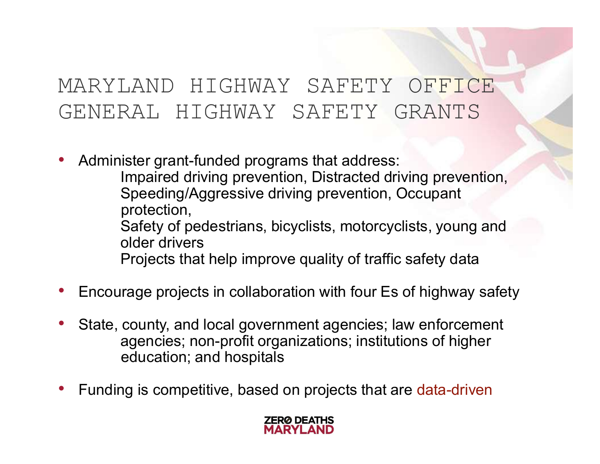### MARYLAND HIGHWAY SAFETY OFFICE GENERAL HIGHWAY SAFETY GRANTS

- Administer grant-funded programs that address: Impaired driving prevention, Distracted driving prevention,
- Speeding/Aggressive driving prevention, Occupant protection, Safety of pedestrians, bicyclists, motorcyclists, young and older drivers GENERAL HIGHWAY SAFETY GRANTS<br>
• Administer grant-funded programs that address:<br>
Impaired driving prevention, Distracted driving prevention,<br>
Speeding/Aggressive driving prevention, Occupant<br>
protection,<br>
Safety of pedestr
	- Projects that help improve quality of traffic safety data
- 
- State, county, and local government agencies; law enforcement agencies; non-profit organizations; institutions of higher education; and hospitals
- Funding is competitive, based on projects that are data-driven

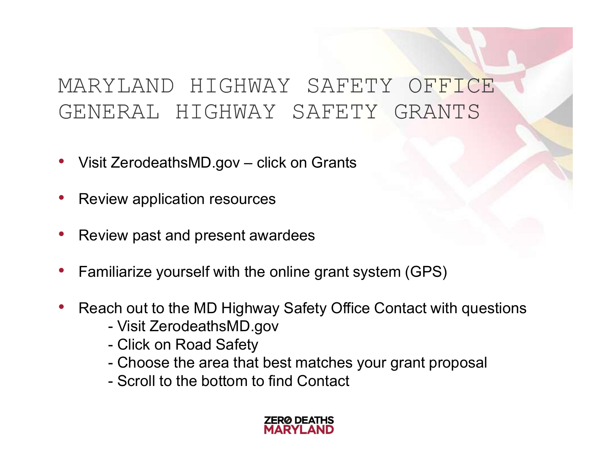# MARYLAND HIGHWAY SAFETY OFFICE GENERAL HIGHWAY SAFETY GRANTS MARYLAND HIGHWAY SAFETY OFFICE<br>GENERAL HIGHWAY SAFETY GRANTS<br>• Visit ZerodeathsMD.gov – click on Grants<br>• Review application resources

- 
- Review application resources
- Review past and present awardees
- Familiarize yourself with the online grant system (GPS) ZerodeathsMD.gov – click on Grants<br>
ew application resources<br>
ew past and present awardees<br>
iliarize yourself with the online grant systen<br>
ch out to the MD Highway Safety Office Cor<br>
- Visit ZerodeathsMD.gov<br>
- Click on R ZerodeathsMD.gov – click on Grants<br>
ew application resources<br>
ew past and present awardees<br>
iliarize yourself with the online grant sys<br>
ch out to the MD Highway Safety Office<br>
- Visit ZerodeathsMD.gov<br>
- Click on Road Saf ew application resources<br>
ew past and present awardees<br>
iliarize yourself with the online grant sy<br>
ch out to the MD Highway Safety Office<br>
- Visit ZerodeathsMD.gov<br>
- Click on Road Safety<br>
- Choose the area that best matc
- Reach out to the MD Highway Safety Office Contact with questions Execution is such all that best matches the area that best matches ew past and present awardees<br>iliarize yourself with the online grant system (GPS)<br>ch out to the MD Highway Safety Office Contact with questions<br>- Visit Zer
	-
	-
	-
	-

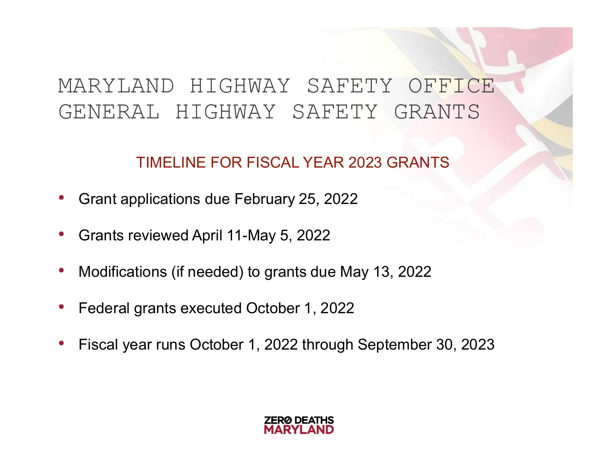### MARYLAND HIGHWAY SAFETY OFFICE GENERAL HIGHWAY SAFETY GRANTS

### TIMELINE FOR FISCAL YEAR 2023 GRANTS

- Grant applications due February 25, 2022
- Grants reviewed April 11-May 5, 2022
- Modifications (if needed) to grants due May 13, 2022
- Federal grants executed October 1, 2022
- Fiscal year runs October 1, 2022 through September 30, 2023

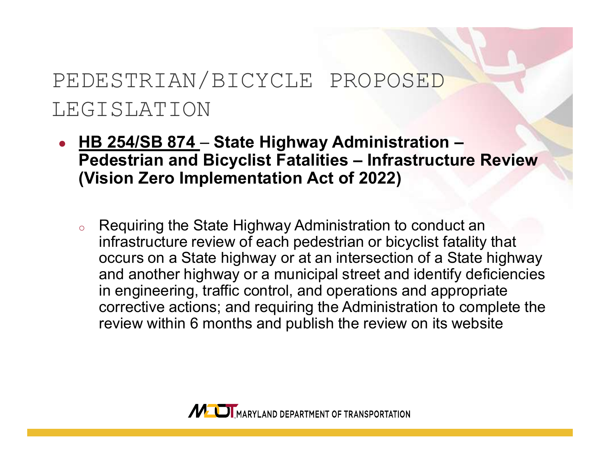### PEDESTRIAN/BICYCLE PROPOSED LEGISLATION

- HB 254/SB 874 State Highway Administration -DESTRIAN/BICYCLE PROPOSED<br>GISLATION<br>HB 254/SB 874 – State Highway Administration –<br>Pedestrian and Bicyclist Fatalities – Infrastructure Review<br>(Vision Zero Implementation Act of 2022) (Vision Zero Implementation Act of 2022)
	- Requiring the State Highway Administration to conduct an infrastructure review of each pedestrian or bicyclist fatality that occurs on a State highway or at an intersection of a State highway and another highway or a municipal street and identify deficiencies in engineering, traffic control, and operations and appropriate corrective actions; and requiring the Administration to complete the review within 6 months and publish the review on its website

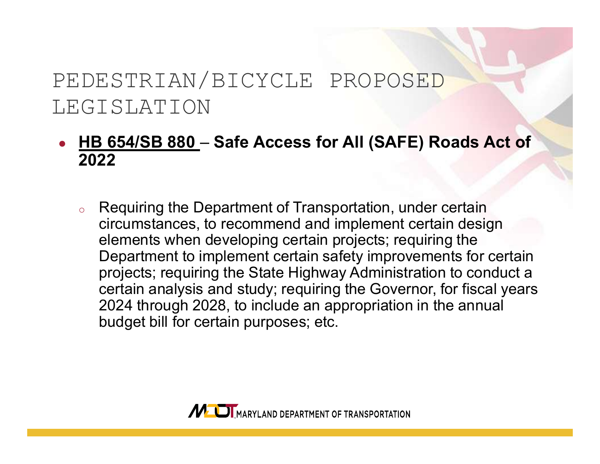### PEDESTRIAN/BICYCLE PROPOSED LEGISLATION

### • HB 654/SB 880 – Safe Access for All (SAFE) Roads Act of 2022

Requiring the Department of Transportation, under certain circumstances, to recommend and implement certain design elements when developing certain projects; requiring the Department to implement certain safety improvements for certain projects; requiring the State Highway Administration to conduct a certain analysis and study; requiring the Governor, for fiscal years 2024 through 2028, to include an appropriation in the annual budget bill for certain purposes; etc.

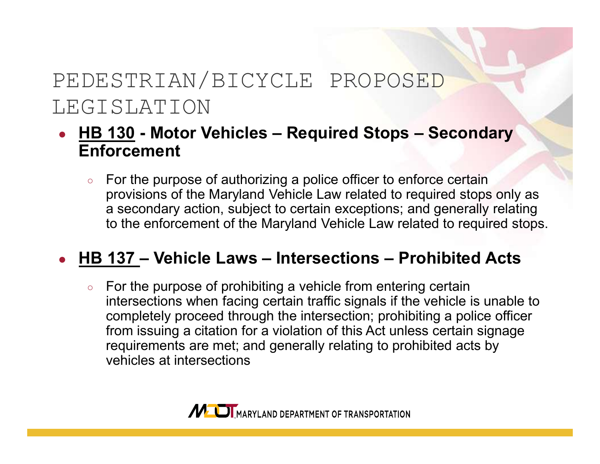# PEDESTRIAN/BICYCLE PROPOSED LEGISLATION PEDESTRIAN/BICYCLE PROPOSED<br>
- HB 130 - Motor Vehicles – Required Stops – Secondary<br>
Enforcement<br>
For the purpose of authorizing a police officer to enforce certain

## Enforcement

For the purpose of authorizing a police officer to enforce certain provisions of the Maryland Vehicle Law related to required stops only as a secondary action, subject to certain exceptions; and generally relating to the enforcement of the Maryland Vehicle Law related to required stops. PEDESTRIAN/BICYCLE PROPOSED<br>
EGISLATION<br>
• HB 130 - Motor Vehicles – Required Stops – Secondary<br>
Enforcement<br>
• For the purpose of authorizing a police officer to enforce certain<br>
provisions of the Maryland Vehicle Law rel

○ For the purpose of prohibiting a vehicle from entering certain intersections when facing certain traffic signals if the vehicle is unable to completely proceed through the intersection; prohibiting a police officer from issuing a citation for a violation of this Act unless certain signage requirements are met; and generally relating to prohibited acts by vehicles at intersections